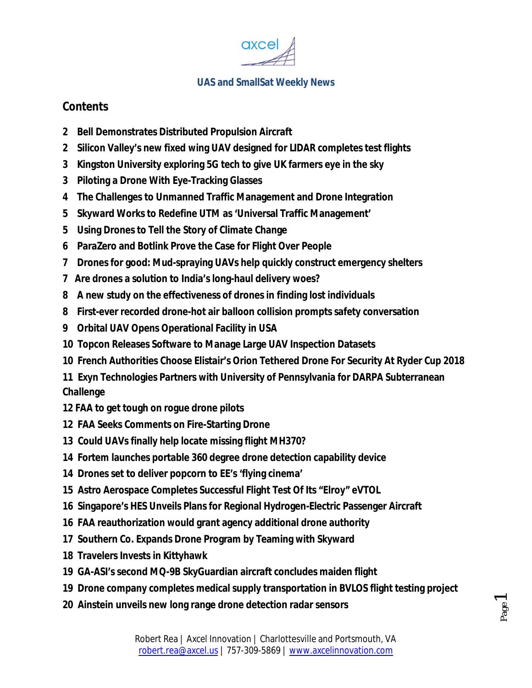

### **Contents**

- **2 Bell Demonstrates Distributed Propulsion Aircraft**
- **2 Silicon Valley's new fixed wing UAV designed for LIDAR completes test flights**
- **3 Kingston University exploring 5G tech to give UK farmers eye in the sky**
- **3 Piloting a Drone With Eye-Tracking Glasses**
- **4 The Challenges to Unmanned Traffic Management and Drone Integration**
- **5 Skyward Works to Redefine UTM as 'Universal Traffic Management'**
- **5 Using Drones to Tell the Story of Climate Change**
- **6 ParaZero and Botlink Prove the Case for Flight Over People**
- **7 Drones for good: Mud-spraying UAVs help quickly construct emergency shelters**
- **7 Are drones a solution to India's long-haul delivery woes?**
- **8 A new study on the effectiveness of drones in finding lost individuals**
- **8 First-ever recorded drone-hot air balloon collision prompts safety conversation**
- **9 Orbital UAV Opens Operational Facility in USA**
- **10 Topcon Releases Software to Manage Large UAV Inspection Datasets**
- **10 French Authorities Choose Elistair's Orion Tethered Drone For Security At Ryder Cup 2018**

**11 Exyn Technologies Partners with University of Pennsylvania for DARPA Subterranean Challenge**

- **12 FAA to get tough on rogue drone pilots**
- **12 FAA Seeks Comments on Fire-Starting Drone**
- **13 Could UAVs finally help locate missing flight MH370?**
- **14 Fortem launches portable 360 degree drone detection capability device**
- **14 Drones set to deliver popcorn to EE's 'flying cinema'**
- **15 Astro Aerospace Completes Successful Flight Test Of Its "Elroy" eVTOL**
- **16 Singapore's HES Unveils Plans for Regional Hydrogen-Electric Passenger Aircraft**
- **16 FAA reauthorization would grant agency additional drone authority**
- **17 Southern Co. Expands Drone Program by Teaming with Skyward**
- **18 Travelers Invests in Kittyhawk**
- **19 GA-ASI's second MQ-9B SkyGuardian aircraft concludes maiden flight**
- **19 Drone company completes medical supply transportation in BVLOS flight testing project**
- **20 Ainstein unveils new long range drone detection radar sensors**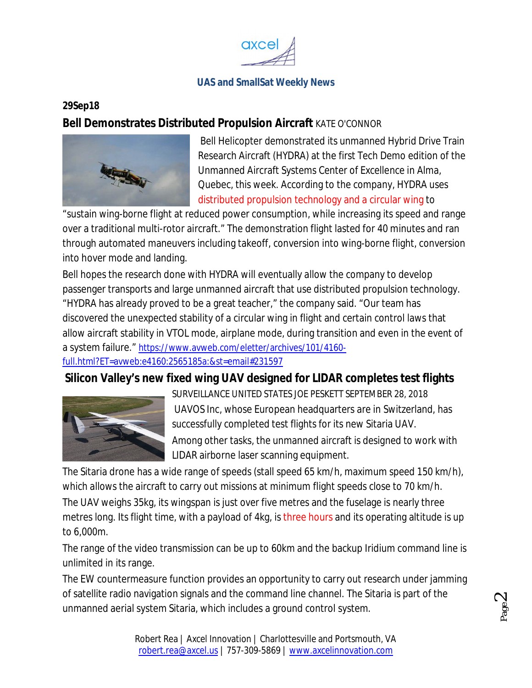

#### **29Sep18**

#### **Bell Demonstrates Distributed Propulsion Aircraft** KATE O'CONNOR



Bell Helicopter demonstrated its unmanned Hybrid Drive Train Research Aircraft (HYDRA) at the first Tech Demo edition of the Unmanned Aircraft Systems Center of Excellence in Alma, Quebec, this week. According to the company, HYDRA uses distributed propulsion technology and a circular wing to

"sustain wing-borne flight at reduced power consumption, while increasing its speed and range over a traditional multi-rotor aircraft." The demonstration flight lasted for 40 minutes and ran through automated maneuvers including takeoff, conversion into wing-borne flight, conversion into hover mode and landing.

Bell hopes the research done with HYDRA will eventually allow the company to develop passenger transports and large unmanned aircraft that use distributed propulsion technology. "HYDRA has already proved to be a great teacher," the company said. "Our team has discovered the unexpected stability of a circular wing in flight and certain control laws that allow aircraft stability in VTOL mode, airplane mode, during transition and even in the event of a system failure." https://www.avweb.com/eletter/archives/101/4160 full.html?ET=avweb:e4160:2565185a:&st=email#231597

#### **Silicon Valley's new fixed wing UAV designed for LIDAR completes test flights**



SURVEILLANCE UNITED STATES JOE PESKETT SEPTEMBER 28, 2018 UAVOS Inc, whose European headquarters are in Switzerland, has successfully completed test flights for its new Sitaria UAV. Among other tasks, the unmanned aircraft is designed to work with LIDAR airborne laser scanning equipment.

The Sitaria drone has a wide range of speeds (stall speed 65 km/h, maximum speed 150 km/h), which allows the aircraft to carry out missions at minimum flight speeds close to 70 km/h. The UAV weighs 35kg, its wingspan is just over five metres and the fuselage is nearly three metres long. Its flight time, with a payload of 4kg, is three hours and its operating altitude is up to 6,000m.

The range of the video transmission can be up to 60km and the backup Iridium command line is unlimited in its range.

The EW countermeasure function provides an opportunity to carry out research under jamming of satellite radio navigation signals and the command line channel. The Sitaria is part of the unmanned aerial system Sitaria, which includes a ground control system.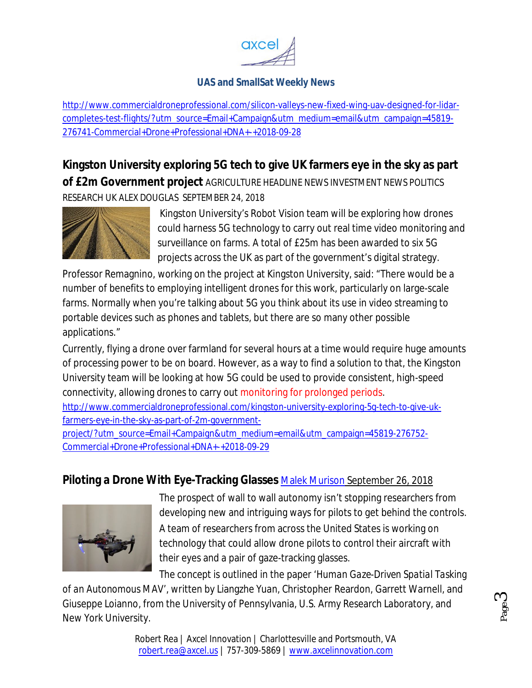

http://www.commercialdroneprofessional.com/silicon-valleys-new-fixed-wing-uav-designed-for-lidarcompletes-test-flights/?utm\_source=Email+Campaign&utm\_medium=email&utm\_campaign=45819- 276741-Commercial+Drone+Professional+DNA+-+2018-09-28

**Kingston University exploring 5G tech to give UK farmers eye in the sky as part of £2m Government project** AGRICULTURE HEADLINE NEWS INVESTMENT NEWS POLITICS RESEARCH UK ALEX DOUGLAS SEPTEMBER 24, 2018



Kingston University's Robot Vision team will be exploring how drones could harness 5G technology to carry out real time video monitoring and surveillance on farms. A total of £25m has been awarded to six 5G projects across the UK as part of the government's digital strategy.

Professor Remagnino, working on the project at Kingston University, said: "There would be a number of benefits to employing intelligent drones for this work, particularly on large-scale farms. Normally when you're talking about 5G you think about its use in video streaming to portable devices such as phones and tablets, but there are so many other possible applications."

Currently, flying a drone over farmland for several hours at a time would require huge amounts of processing power to be on board. However, as a way to find a solution to that, the Kingston University team will be looking at how 5G could be used to provide consistent, high-speed connectivity, allowing drones to carry out monitoring for prolonged periods. http://www.commercialdroneprofessional.com/kingston-university-exploring-5g-tech-to-give-ukfarmers-eye-in-the-sky-as-part-of-2m-government-

project/?utm\_source=Email+Campaign&utm\_medium=email&utm\_campaign=45819-276752- Commercial+Drone+Professional+DNA+-+2018-09-29

# **Piloting a Drone With Eye-Tracking Glasses** Malek Murison September 26, 2018



The prospect of wall to wall autonomy isn't stopping researchers from developing new and intriguing ways for pilots to get behind the controls. A team of researchers from across the United States is working on technology that could allow drone pilots to control their aircraft with their eyes and a pair of gaze-tracking glasses.

> Page ო

The concept is outlined in the paper '*Human Gaze-Driven Spatial Tasking of an Autonomous MAV'*, written by Liangzhe Yuan, Christopher Reardon, Garrett Warnell, and Giuseppe Loianno, from the University of Pennsylvania, U.S. Army Research Laboratory, and New York University.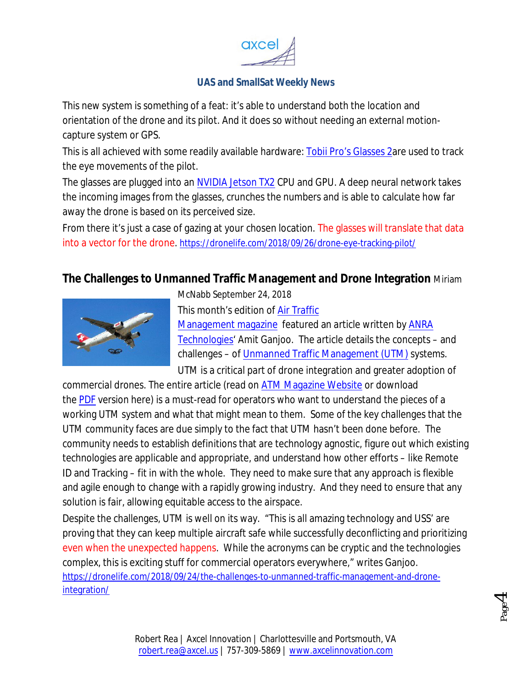

This new system is something of a feat: it's able to understand both the location and orientation of the drone and its pilot. And it does so without needing an external motioncapture system or GPS.

This is all achieved with some readily available hardware: Tobii Pro's Glasses 2are used to track the eye movements of the pilot.

The glasses are plugged into an NVIDIA Jetson TX2 CPU and GPU. A deep neural network takes the incoming images from the glasses, crunches the numbers and is able to calculate how far away the drone is based on its perceived size.

From there it's just a case of gazing at your chosen location. The glasses will translate that data into a vector for the drone. https://dronelife.com/2018/09/26/drone-eye-tracking-pilot/

# **The Challenges to Unmanned Traffic Management and Drone Integration** Miriam



McNabb September 24, 2018

This month's edition of Air Traffic Management magazine featured an article written by ANRA Technologies' Amit Ganjoo. The article details the concepts – and

challenges – of Unmanned Traffic Management (UTM) systems. UTM is a critical part of drone integration and greater adoption of commercial drones. The entire article (read on ATM Magazine Website or download

the PDF version here) is a must-read for operators who want to understand the pieces of a working UTM system and what that might mean to them. Some of the key challenges that the UTM community faces are due simply to the fact that UTM hasn't been done before. The community needs to establish definitions that are technology agnostic, figure out which existing technologies are applicable and appropriate, and understand how other efforts – like Remote ID and Tracking – fit in with the whole. They need to make sure that any approach is flexible and agile enough to change with a rapidly growing industry. And they need to ensure that any solution is fair, allowing equitable access to the airspace.

Despite the challenges, UTM is well on its way. "This is all amazing technology and USS' are proving that they can keep multiple aircraft safe while successfully deconflicting and prioritizing even when the unexpected happens. While the acronyms can be cryptic and the technologies complex, this is exciting stuff for commercial operators everywhere," writes Ganjoo. https://dronelife.com/2018/09/24/the-challenges-to-unmanned-traffic-management-and-droneintegration/

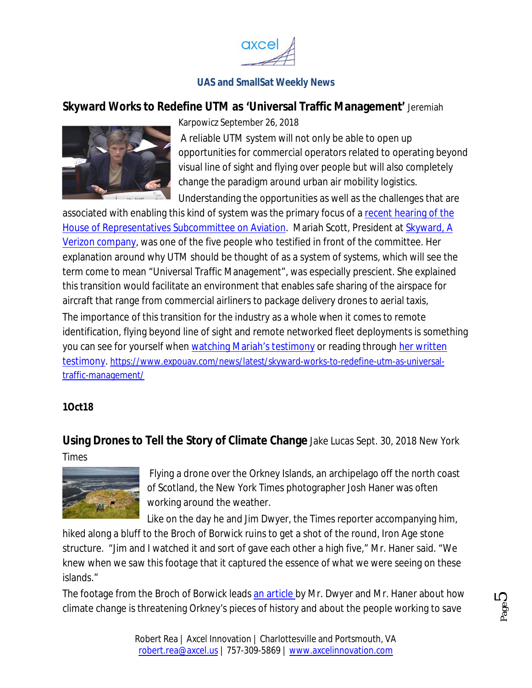

### **Skyward Works to Redefine UTM as 'Universal Traffic Management'** Jeremiah



Karpowicz September 26, 2018

A reliable UTM system will not only be able to open up opportunities for commercial operators related to operating beyond visual line of sight and flying over people but will also completely change the paradigm around urban air mobility logistics. Understanding the opportunities as well as the challenges that are

associated with enabling this kind of system was the primary focus of a recent hearing of the House of Representatives Subcommittee on Aviation. Mariah Scott, President at Skyward, A Verizon company, was one of the five people who testified in front of the committee. Her explanation around why UTM should be thought of as a system of systems, which will see the term come to mean "Universal Traffic Management", was especially prescient. She explained this transition would facilitate an environment that enables safe sharing of the airspace for aircraft that range from commercial airliners to package delivery drones to aerial taxis, The importance of this transition for the industry as a whole when it comes to remote identification, flying beyond line of sight and remote networked fleet deployments is something you can see for yourself when watching Mariah's testimony or reading through her written testimony. https://www.expouav.com/news/latest/skyward-works-to-redefine-utm-as-universaltraffic-management/

#### **1Oct18**

**Using Drones to Tell the Story of Climate Change** Jake Lucas Sept. 30, 2018 *New York* 

*Times*



Flying a drone over the Orkney Islands, an archipelago off the north coast of Scotland, the New York Times photographer Josh Haner was often working around the weather.

Like on the day he and Jim Dwyer, the Times reporter accompanying him,

hiked along a bluff to the Broch of Borwick ruins to get a shot of the round, Iron Age stone structure. "Jim and I watched it and sort of gave each other a high five," Mr. Haner said. "We knew when we saw this footage that it captured the essence of what we were seeing on these islands."

The footage from the Broch of Borwick leads an article by Mr. Dwyer and Mr. Haner about how climate change is threatening Orkney's pieces of history and about the people working to save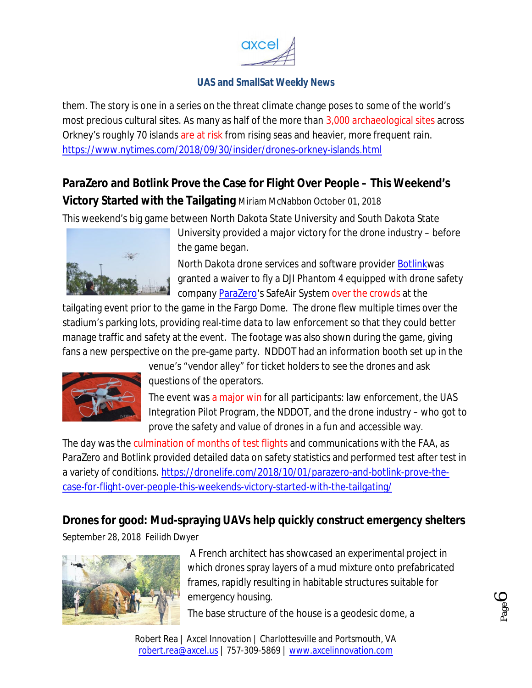

them. The story is one in a series on the threat climate change poses to some of the world's most precious cultural sites. As many as half of the more than 3,000 archaeological sites across Orkney's roughly 70 islands are at risk from rising seas and heavier, more frequent rain. https://www.nytimes.com/2018/09/30/insider/drones-orkney-islands.html

# **ParaZero and Botlink Prove the Case for Flight Over People – This Weekend's Victory Started with the Tailgating** Miriam McNabbon October 01, 2018

This weekend's big game between North Dakota State University and South Dakota State



University provided a major victory for the drone industry – before the game began.

North Dakota drone services and software provider Botlinkwas granted a waiver to fly a DJI Phantom 4 equipped with drone safety company ParaZero's SafeAir System over the crowds at the

tailgating event prior to the game in the Fargo Dome. The drone flew multiple times over the stadium's parking lots, providing real-time data to law enforcement so that they could better manage traffic and safety at the event. The footage was also shown during the game, giving fans a new perspective on the pre-game party. NDDOT had an information booth set up in the



venue's "vendor alley" for ticket holders to see the drones and ask questions of the operators.

The event was a major win for all participants: law enforcement, the UAS Integration Pilot Program, the NDDOT, and the drone industry – who got to prove the safety and value of drones in a fun and accessible way.

The day was the culmination of months of test flights and communications with the FAA, as ParaZero and Botlink provided detailed data on safety statistics and performed test after test in a variety of conditions. https://dronelife.com/2018/10/01/parazero-and-botlink-prove-thecase-for-flight-over-people-this-weekends-victory-started-with-the-tailgating/

# **Drones for good: Mud-spraying UAVs help quickly construct emergency shelters**

September 28, 2018 Feilidh Dwyer



A French architect has showcased an experimental project in which drones spray layers of a mud mixture onto prefabricated frames, rapidly resulting in habitable structures suitable for emergency housing.

The base structure of the house is a geodesic dome, a

Robert Rea | Axcel Innovation | Charlottesville and Portsmouth, VA robert.rea@axcel.us | 757-309-5869 | www.axcelinnovation.com

Page  $\bm{\circ}$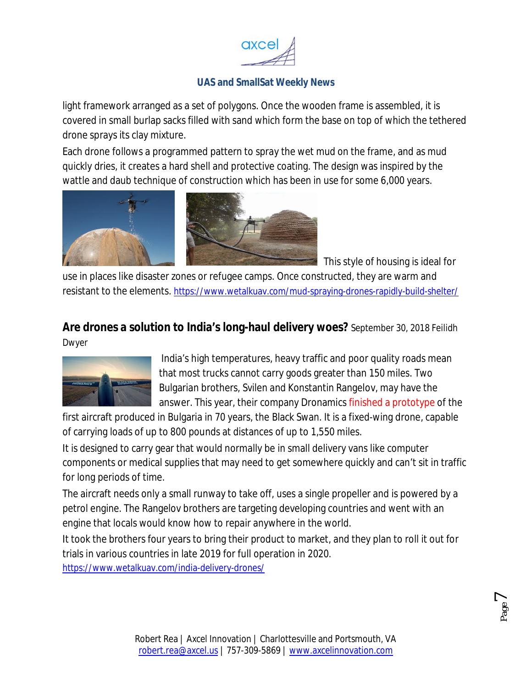

light framework arranged as a set of polygons. Once the wooden frame is assembled, it is covered in small burlap sacks filled with sand which form the base on top of which the tethered drone sprays its clay mixture.

Each drone follows a programmed pattern to spray the wet mud on the frame, and as mud quickly dries, it creates a hard shell and protective coating. The design was inspired by the wattle and daub technique of construction which has been in use for some 6,000 years.



This style of housing is ideal for

use in places like disaster zones or refugee camps. Once constructed, they are warm and resistant to the elements. https://www.wetalkuav.com/mud-spraying-drones-rapidly-build-shelter/

# **Are drones a solution to India's long-haul delivery woes?** September 30, 2018 Feilidh

Dwyer



India's high temperatures, heavy traffic and poor quality roads mean that most trucks cannot carry goods greater than 150 miles. Two Bulgarian brothers, Svilen and Konstantin Rangelov, may have the answer. This year, their company Dronamics finished a prototype of the

first aircraft produced in Bulgaria in 70 years, the Black Swan. It is a fixed-wing drone, capable of carrying loads of up to 800 pounds at distances of up to 1,550 miles.

It is designed to carry gear that would normally be in small delivery vans like computer components or medical supplies that may need to get somewhere quickly and can't sit in traffic for long periods of time.

The aircraft needs only a small runway to take off, uses a single propeller and is powered by a petrol engine. The Rangelov brothers are targeting developing countries and went with an engine that locals would know how to repair anywhere in the world.

It took the brothers four years to bring their product to market, and they plan to roll it out for trials in various countries in late 2019 for full operation in 2020. https://www.wetalkuav.com/india-delivery-drones/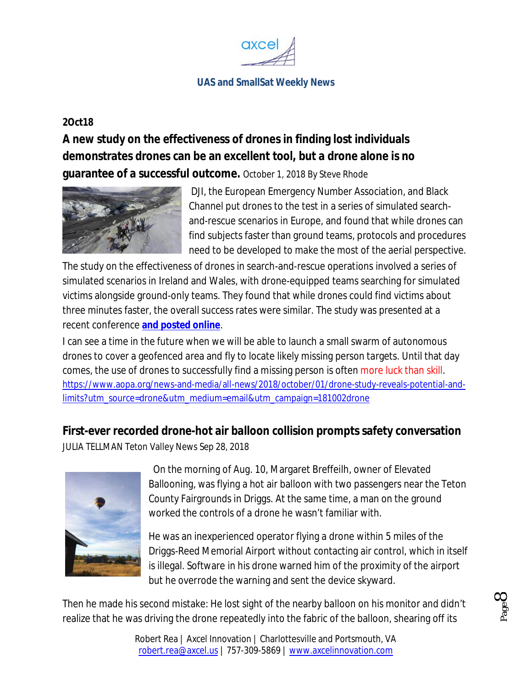

#### **2Oct18**

**A new study on the effectiveness of drones in finding lost individuals demonstrates drones can be an excellent tool, but a drone alone is no guarantee of a successful outcome.** October 1, 2018 By Steve Rhode



DJI, the European Emergency Number Association, and Black Channel put drones to the test in a series of simulated searchand-rescue scenarios in Europe, and found that while drones can find subjects faster than ground teams, protocols and procedures need to be developed to make the most of the aerial perspective.

The study on the effectiveness of drones in search-and-rescue operations involved a series of simulated scenarios in Ireland and Wales, with drone-equipped teams searching for simulated victims alongside ground-only teams. They found that while drones could find victims about three minutes faster, the overall success rates were similar. The study was presented at a recent conference **and posted online**.

I can see a time in the future when we will be able to launch a small swarm of autonomous drones to cover a geofenced area and fly to locate likely missing person targets. Until that day comes, the use of drones to successfully find a missing person is often more luck than skill. https://www.aopa.org/news-and-media/all-news/2018/october/01/drone-study-reveals-potential-andlimits?utm\_source=drone&utm\_medium=email&utm\_campaign=181002drone

#### **First-ever recorded drone-hot air balloon collision prompts safety conversation**

JULIA TELLMAN Teton Valley News Sep 28, 2018



On the morning of Aug. 10, Margaret Breffeilh, owner of Elevated Ballooning, was flying a hot air balloon with two passengers near the Teton County Fairgrounds in Driggs. At the same time, a man on the ground worked the controls of a drone he wasn't familiar with.

He was an inexperienced operator flying a drone within 5 miles of the Driggs-Reed Memorial Airport without contacting air control, which in itself is illegal. Software in his drone warned him of the proximity of the airport but he overrode the warning and sent the device skyward.

Then he made his second mistake: He lost sight of the nearby balloon on his monitor and didn't realize that he was driving the drone repeatedly into the fabric of the balloon, shearing off its

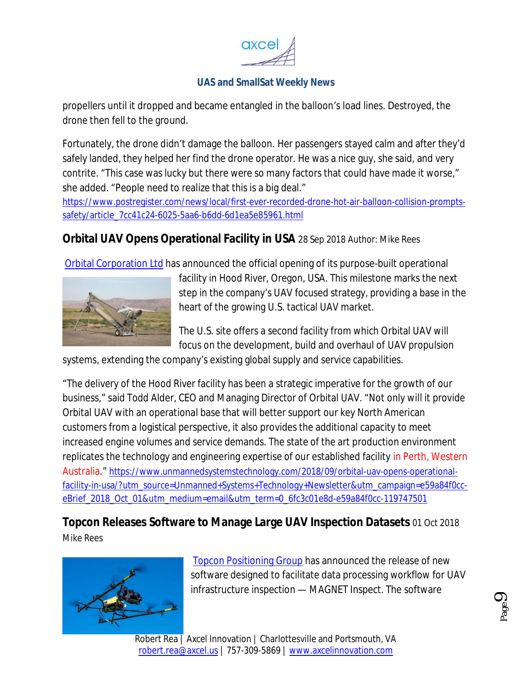

propellers until it dropped and became entangled in the balloon's load lines. Destroyed, the drone then fell to the ground.

Fortunately, the drone didn't damage the balloon. Her passengers stayed calm and after they'd safely landed, they helped her find the drone operator. He was a nice guy, she said, and very contrite. "This case was lucky but there were so many factors that could have made it worse," she added. "People need to realize that this is a big deal."

https://www.postregister.com/news/local/first-ever-recorded-drone-hot-air-balloon-collision-promptssafety/article\_7cc41c24-6025-5aa6-b6dd-6d1ea5e85961.html

# **Orbital UAV Opens Operational Facility in USA** 28 Sep 2018 Author: Mike Rees

Orbital Corporation Ltd has announced the official opening of its purpose-built operational



facility in Hood River, Oregon, USA. This milestone marks the next step in the company's UAV focused strategy, providing a base in the heart of the growing U.S. tactical UAV market.

The U.S. site offers a second facility from which Orbital UAV will focus on the development, build and overhaul of UAV propulsion

systems, extending the company's existing global supply and service capabilities.

"The delivery of the Hood River facility has been a strategic imperative for the growth of our business," said Todd Alder, CEO and Managing Director of Orbital UAV. "Not only will it provide Orbital UAV with an operational base that will better support our key North American customers from a logistical perspective, it also provides the additional capacity to meet increased engine volumes and service demands. The state of the art production environment replicates the technology and engineering expertise of our established facility in Perth, Western Australia." https://www.unmannedsystemstechnology.com/2018/09/orbital-uav-opens-operationalfacility-in-usa/?utm\_source=Unmanned+Systems+Technology+Newsletter&utm\_campaign=e59a84f0cceBrief\_2018\_Oct\_01&utm\_medium=email&utm\_term=0\_6fc3c01e8d-e59a84f0cc-119747501

# **Topcon Releases Software to Manage Large UAV Inspection Datasets** 01 Oct 2018

Mike Rees



Topcon Positioning Group has announced the release of new software designed to facilitate data processing workflow for UAV infrastructure inspection — MAGNET Inspect. The software

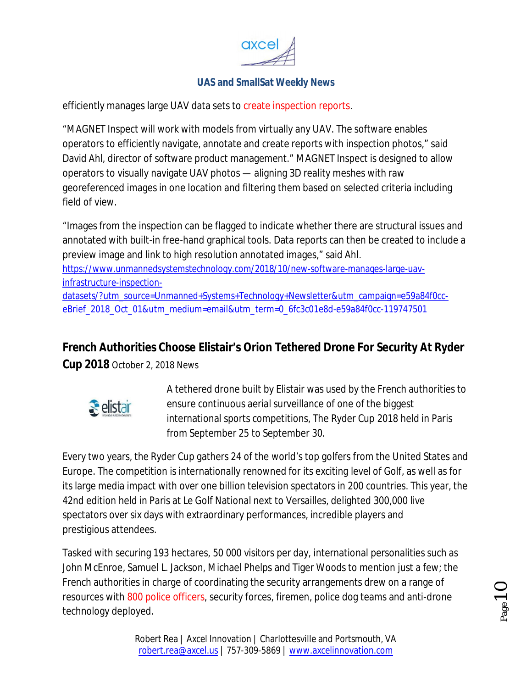

efficiently manages large UAV data sets to create inspection reports.

"MAGNET Inspect will work with models from virtually any UAV. The software enables operators to efficiently navigate, annotate and create reports with inspection photos," said David Ahl, director of software product management." MAGNET Inspect is designed to allow operators to visually navigate UAV photos — aligning 3D reality meshes with raw georeferenced images in one location and filtering them based on selected criteria including field of view.

"Images from the inspection can be flagged to indicate whether there are structural issues and annotated with built-in free-hand graphical tools. Data reports can then be created to include a preview image and link to high resolution annotated images," said Ahl.

https://www.unmannedsystemstechnology.com/2018/10/new-software-manages-large-uavinfrastructure-inspection-

datasets/?utm\_source=Unmanned+Systems+Technology+Newsletter&utm\_campaign=e59a84f0cceBrief\_2018\_Oct\_01&utm\_medium=email&utm\_term=0\_6fc3c01e8d-e59a84f0cc-119747501

# **French Authorities Choose Elistair's Orion Tethered Drone For Security At Ryder**

**Cup 2018** October 2, 2018 News



A tethered drone built by Elistair was used by the French authorities to ensure continuous aerial surveillance of one of the biggest international sports competitions, The Ryder Cup 2018 held in Paris from September 25 to September 30.

Every two years, the Ryder Cup gathers 24 of the world's top golfers from the United States and Europe. The competition is internationally renowned for its exciting level of Golf, as well as for its large media impact with over one billion television spectators in 200 countries. This year, the 42nd edition held in Paris at Le Golf National next to Versailles, delighted 300,000 live spectators over six days with extraordinary performances, incredible players and prestigious attendees.

Tasked with securing 193 hectares, 50 000 visitors per day, international personalities such as John McEnroe, Samuel L. Jackson, Michael Phelps and Tiger Woods to mention just a few; the French authorities in charge of coordinating the security arrangements drew on a range of resources with 800 police officers, security forces, firemen, police dog teams and anti-drone technology deployed.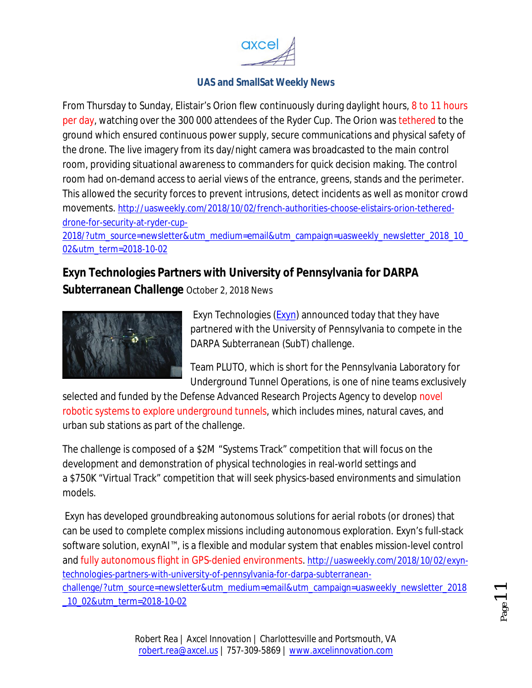

From Thursday to Sunday, Elistair's Orion flew continuously during daylight hours, 8 to 11 hours per day, watching over the 300 000 attendees of the Ryder Cup. The Orion was tethered to the ground which ensured continuous power supply, secure communications and physical safety of the drone. The live imagery from its day/night camera was broadcasted to the main control room, providing situational awareness to commanders for quick decision making. The control room had on-demand access to aerial views of the entrance, greens, stands and the perimeter. This allowed the security forces to prevent intrusions, detect incidents as well as monitor crowd movements. http://uasweekly.com/2018/10/02/french-authorities-choose-elistairs-orion-tethereddrone-for-security-at-ryder-cup-

2018/?utm\_source=newsletter&utm\_medium=email&utm\_campaign=uasweekly\_newsletter\_2018\_10\_ 02&utm\_term=2018-10-02

# **Exyn Technologies Partners with University of Pennsylvania for DARPA Subterranean Challenge** October 2, 2018 News



Exyn Technologies (Exyn) announced today that they have partnered with the University of Pennsylvania to compete in the DARPA Subterranean (SubT) challenge.

Team PLUTO, which is short for the Pennsylvania Laboratory for Underground Tunnel Operations, is one of nine teams exclusively

selected and funded by the Defense Advanced Research Projects Agency to develop novel robotic systems to explore underground tunnels, which includes mines, natural caves, and urban sub stations as part of the challenge.

The challenge is composed of a \$2M "Systems Track" competition that will focus on the development and demonstration of physical technologies in real-world settings and a \$750K "Virtual Track" competition that will seek physics-based environments and simulation models.

Exyn has developed groundbreaking autonomous solutions for aerial robots (or drones) that can be used to complete complex missions including autonomous exploration. Exyn's full-stack software solution, exynAI<sup>™</sup>, is a flexible and modular system that enables mission-level control and fully autonomous flight in GPS-denied environments. http://uasweekly.com/2018/10/02/exyntechnologies-partners-with-university-of-pennsylvania-for-darpa-subterraneanchallenge/?utm\_source=newsletter&utm\_medium=email&utm\_campaign=uasweekly\_newsletter\_2018 \_10\_02&utm\_term=2018-10-02

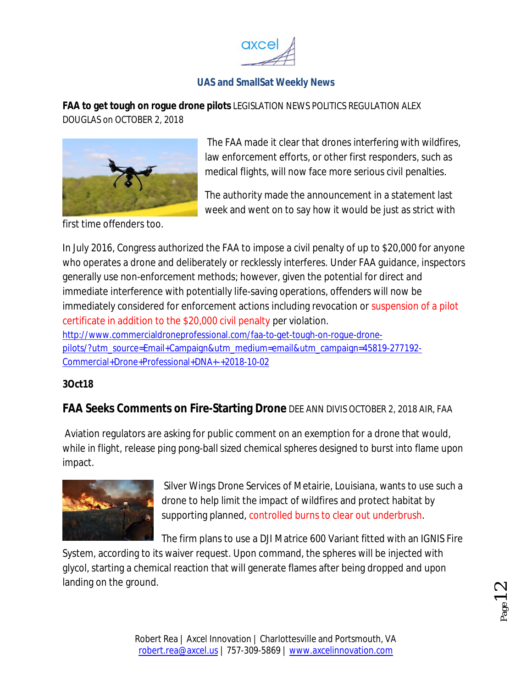

**FAA to get tough on rogue drone pilots** LEGISLATION NEWS POLITICS REGULATION ALEX DOUGLAS on OCTOBER 2, 2018



The FAA made it clear that drones interfering with wildfires, law enforcement efforts, or other first responders, such as medical flights, will now face more serious civil penalties.

The authority made the announcement in a statement last week and went on to say how it would be just as strict with

first time offenders too.

In July 2016, Congress authorized the FAA to impose a civil penalty of up to \$20,000 for anyone who operates a drone and deliberately or recklessly interferes. Under FAA guidance, inspectors generally use non-enforcement methods; however, given the potential for direct and immediate interference with potentially life-saving operations, offenders will now be immediately considered for enforcement actions including revocation or suspension of a pilot certificate in addition to the \$20,000 civil penalty per violation. http://www.commercialdroneprofessional.com/faa-to-get-tough-on-rogue-dronepilots/?utm\_source=Email+Campaign&utm\_medium=email&utm\_campaign=45819-277192- Commercial+Drone+Professional+DNA+-+2018-10-02

#### **3Oct18**

#### **FAA Seeks Comments on Fire-Starting Drone** DEE ANN DIVIS OCTOBER 2, 2018 AIR, FAA

Aviation regulators are asking for public comment on an exemption for a drone that would, while in flight, release ping pong-ball sized chemical spheres designed to burst into flame upon impact.



Silver Wings Drone Services of Metairie, Louisiana, wants to use such a drone to help limit the impact of wildfires and protect habitat by supporting planned, controlled burns to clear out underbrush.

The firm plans to use a DJI Matrice 600 Variant fitted with an IGNIS Fire

System, according to its waiver request. Upon command, the spheres will be injected with glycol, starting a chemical reaction that will generate flames after being dropped and upon landing on the ground.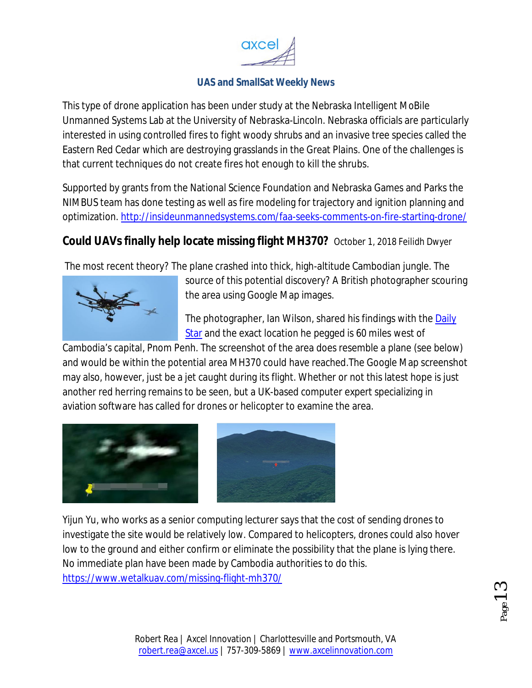

This type of drone application has been under study at the Nebraska Intelligent MoBile Unmanned Systems Lab at the University of Nebraska-Lincoln. Nebraska officials are particularly interested in using controlled fires to fight woody shrubs and an invasive tree species called the Eastern Red Cedar which are destroying grasslands in the Great Plains. One of the challenges is that current techniques do not create fires hot enough to kill the shrubs.

Supported by grants from the National Science Foundation and Nebraska Games and Parks the NIMBUS team has done testing as well as fire modeling for trajectory and ignition planning and optimization. http://insideunmannedsystems.com/faa-seeks-comments-on-fire-starting-drone/

# **Could UAVs finally help locate missing flight MH370?** October 1, 2018 Feilidh Dwyer

The most recent theory? The plane crashed into thick, high-altitude Cambodian jungle. The



source of this potential discovery? A British photographer scouring the area using Google Map images.

The photographer, Ian Wilson, shared his findings with the Daily Star and the exact location he pegged is 60 miles west of

Cambodia's capital, Pnom Penh. The screenshot of the area does resemble a plane (see below) and would be within the potential area MH370 could have reached.The Google Map screenshot may also, however, just be a jet caught during its flight. Whether or not this latest hope is just another red herring remains to be seen, but a UK-based computer expert specializing in aviation software has called for drones or helicopter to examine the area.





Yijun Yu, who works as a senior computing lecturer says that the cost of sending drones to investigate the site would be relatively low. Compared to helicopters, drones could also hover low to the ground and either confirm or eliminate the possibility that the plane is lying there. No immediate plan have been made by Cambodia authorities to do this. https://www.wetalkuav.com/missing-flight-mh370/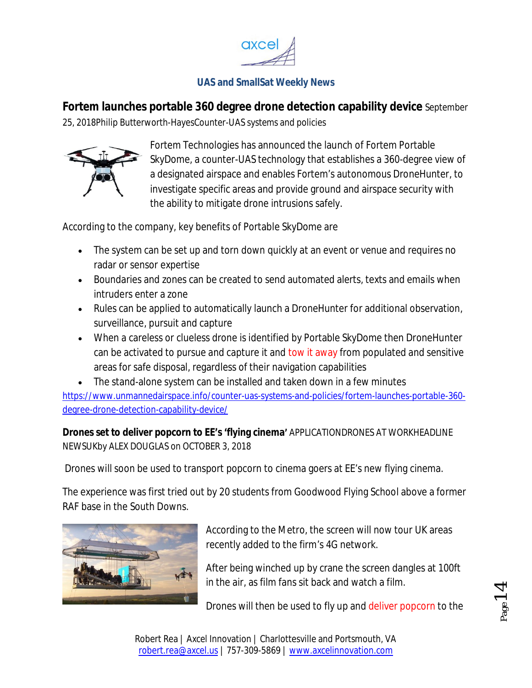

**Fortem launches portable 360 degree drone detection capability device** September

25, 2018Philip Butterworth-HayesCounter-UAS systems and policies



Fortem Technologies has announced the launch of Fortem Portable SkyDome, a counter-UAS technology that establishes a 360-degree view of a designated airspace and enables Fortem's autonomous DroneHunter, to investigate specific areas and provide ground and airspace security with the ability to mitigate drone intrusions safely.

According to the company, key benefits of Portable SkyDome are

- The system can be set up and torn down quickly at an event or venue and requires no radar or sensor expertise
- Boundaries and zones can be created to send automated alerts, texts and emails when intruders enter a zone
- Rules can be applied to automatically launch a DroneHunter for additional observation, surveillance, pursuit and capture
- When a careless or clueless drone is identified by Portable SkyDome then DroneHunter can be activated to pursue and capture it and tow it away from populated and sensitive areas for safe disposal, regardless of their navigation capabilities
- The stand-alone system can be installed and taken down in a few minutes

https://www.unmannedairspace.info/counter-uas-systems-and-policies/fortem-launches-portable-360 degree-drone-detection-capability-device/

**Drones set to deliver popcorn to EE's 'flying cinema'** APPLICATIONDRONES AT WORKHEADLINE NEWSUKby ALEX DOUGLAS on OCTOBER 3, 2018

Drones will soon be used to transport popcorn to cinema goers at EE's new flying cinema.

The experience was first tried out by 20 students from Goodwood Flying School above a former RAF base in the South Downs.



According to the Metro, the screen will now tour UK areas recently added to the firm's 4G network.

After being winched up by crane the screen dangles at 100ft in the air, as film fans sit back and watch a film.

Drones will then be used to fly up and deliver popcorn to the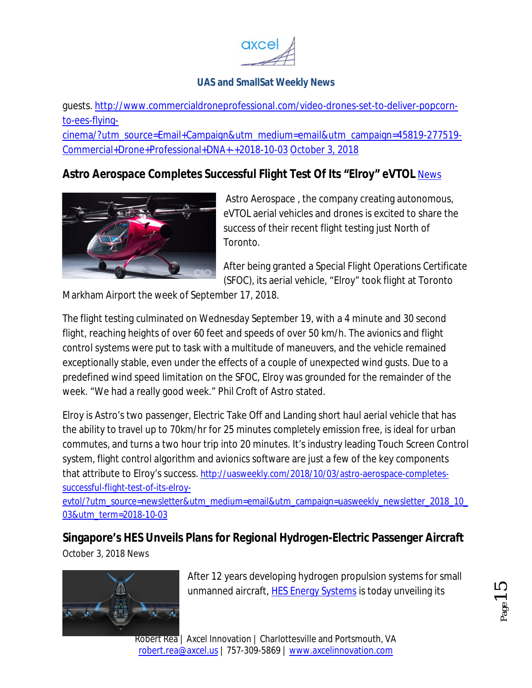

guests. http://www.commercialdroneprofessional.com/video-drones-set-to-deliver-popcornto-ees-flying-

cinema/?utm\_source=Email+Campaign&utm\_medium=email&utm\_campaign=45819-277519- Commercial+Drone+Professional+DNA+-+2018-10-03 October 3, 2018

# **Astro Aerospace Completes Successful Flight Test Of Its "Elroy" eVTOL** News



Astro Aerospace , the company creating autonomous, eVTOL aerial vehicles and drones is excited to share the success of their recent flight testing just North of Toronto.

After being granted a Special Flight Operations Certificate (SFOC), its aerial vehicle, "Elroy" took flight at Toronto

Markham Airport the week of September 17, 2018.

The flight testing culminated on Wednesday September 19, with a 4 minute and 30 second flight, reaching heights of over 60 feet and speeds of over 50 km/h. The avionics and flight control systems were put to task with a multitude of maneuvers, and the vehicle remained exceptionally stable, even under the effects of a couple of unexpected wind gusts. Due to a predefined wind speed limitation on the SFOC, Elroy was grounded for the remainder of the week. "We had a really good week." Phil Croft of Astro stated.

Elroy is Astro's two passenger, Electric Take Off and Landing short haul aerial vehicle that has the ability to travel up to 70km/hr for 25 minutes completely emission free, is ideal for urban commutes, and turns a two hour trip into 20 minutes. It's industry leading Touch Screen Control system, flight control algorithm and avionics software are just a few of the key components that attribute to Elroy's success. http://uasweekly.com/2018/10/03/astro-aerospace-completessuccessful-flight-test-of-its-elroy-

evtol/?utm\_source=newsletter&utm\_medium=email&utm\_campaign=uasweekly\_newsletter\_2018\_10\_ 03&utm\_term=2018-10-03

# **Singapore's HES Unveils Plans for Regional Hydrogen-Electric Passenger Aircraft**

October 3, 2018 News



After 12 years developing hydrogen propulsion systems for small unmanned aircraft, **HES Energy Systems** is today unveiling its

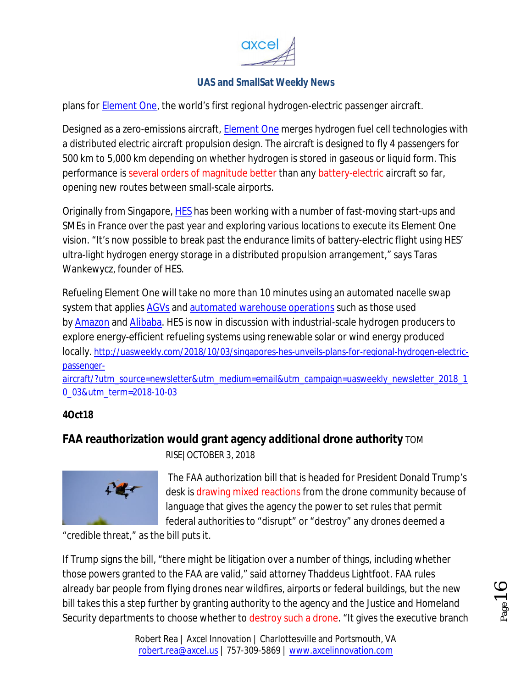

plans for **Element One**, the world's first regional hydrogen-electric passenger aircraft.

Designed as a zero-emissions aircraft, Element One merges hydrogen fuel cell technologies with a distributed electric aircraft propulsion design. The aircraft is designed to fly 4 passengers for 500 km to 5,000 km depending on whether hydrogen is stored in gaseous or liquid form. This performance is several orders of magnitude better than any battery-electric aircraft so far, opening new routes between small-scale airports.

Originally from Singapore, HES has been working with a number of fast-moving start-ups and SMEs in France over the past year and exploring various locations to execute its Element One vision. "It's now possible to break past the endurance limits of battery-electric flight using HES' ultra-light hydrogen energy storage in a distributed propulsion arrangement," says Taras Wankewycz, founder of HES.

Refueling Element One will take no more than 10 minutes using an automated nacelle swap system that applies AGVs and automated warehouse operations such as those used by Amazon and Alibaba. HES is now in discussion with industrial-scale hydrogen producers to explore energy-efficient refueling systems using renewable solar or wind energy produced locally. http://uasweekly.com/2018/10/03/singapores-hes-unveils-plans-for-regional-hydrogen-electricpassenger-

aircraft/?utm\_source=newsletter&utm\_medium=email&utm\_campaign=uasweekly\_newsletter\_2018\_1 0\_03&utm\_term=2018-10-03

#### **4Oct18**

#### **FAA reauthorization would grant agency additional drone authority** TOM



RISE|OCTOBER 3, 2018

The FAA authorization bill that is headed for President Donald Trump's desk is drawing mixed reactions from the drone community because of language that gives the agency the power to set rules that permit federal authorities to "disrupt" or "destroy" any drones deemed a

"credible threat," as the bill puts it.

If Trump signs the bill, "there might be litigation over a number of things, including whether those powers granted to the FAA are valid," said attorney Thaddeus Lightfoot. FAA rules already bar people from flying drones near wildfires, airports or federal buildings, but the new bill takes this a step further by granting authority to the agency and the Justice and Homeland Security departments to choose whether to destroy such a drone. "It gives the executive branch

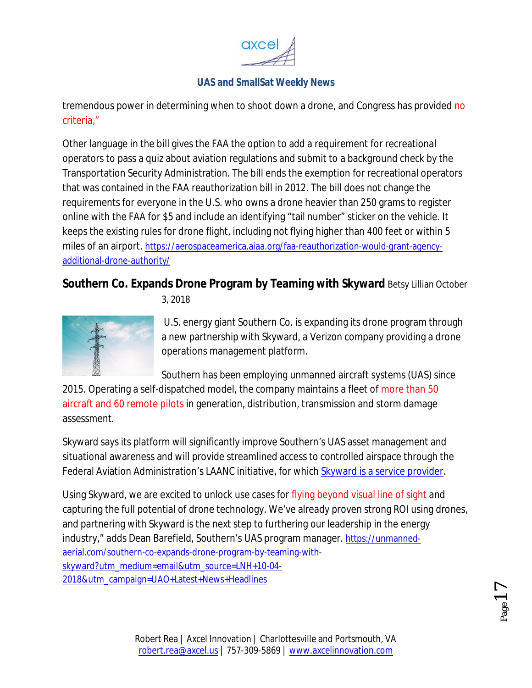

tremendous power in determining when to shoot down a drone, and Congress has provided no criteria,"

Other language in the bill gives the FAA the option to add a requirement for recreational operators to pass a quiz about aviation regulations and submit to a background check by the Transportation Security Administration. The bill ends the exemption for recreational operators that was contained in the FAA reauthorization bill in 2012. The bill does not change the requirements for everyone in the U.S. who owns a drone heavier than 250 grams to register online with the FAA for \$5 and include an identifying "tail number" sticker on the vehicle. It keeps the existing rules for drone flight, including not flying higher than 400 feet or within 5 miles of an airport. https://aerospaceamerica.aiaa.org/faa-reauthorization-would-grant-agencyadditional-drone-authority/

# **Southern Co. Expands Drone Program by Teaming with Skyward** Betsy Lillian October



3, 2018

U.S. energy giant Southern Co. is expanding its drone program through a new partnership with Skyward, a Verizon company providing a drone operations management platform.

Southern has been employing unmanned aircraft systems (UAS) since

2015. Operating a self-dispatched model, the company maintains a fleet of more than 50 aircraft and 60 remote pilots in generation, distribution, transmission and storm damage assessment.

Skyward says its platform will significantly improve Southern's UAS asset management and situational awareness and will provide streamlined access to controlled airspace through the Federal Aviation Administration's LAANC initiative, for which Skyward is a service provider.

Using Skyward, we are excited to unlock use cases for flying beyond visual line of sight and capturing the full potential of drone technology. We've already proven strong ROI using drones, and partnering with Skyward is the next step to furthering our leadership in the energy industry," adds Dean Barefield, Southern's UAS program manager. https://unmannedaerial.com/southern-co-expands-drone-program-by-teaming-withskyward?utm\_medium=email&utm\_source=LNH+10-04- 2018&utm\_campaign=UAO+Latest+News+Headlines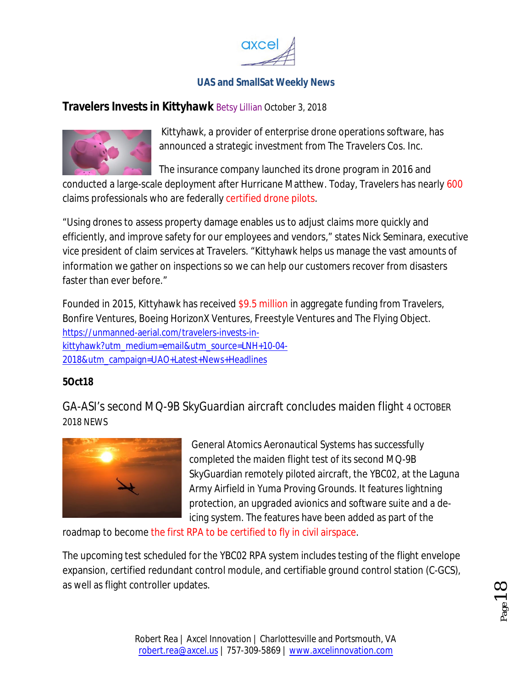

#### **Travelers Invests in Kittyhawk** Betsy Lillian October 3, 2018



Kittyhawk, a provider of enterprise drone operations software, has announced a strategic investment from The Travelers Cos. Inc.

The insurance company launched its drone program in 2016 and

conducted a large-scale deployment after Hurricane Matthew. Today, Travelers has nearly 600 claims professionals who are federally certified drone pilots.

"Using drones to assess property damage enables us to adjust claims more quickly and efficiently, and improve safety for our employees and vendors," states Nick Seminara, executive vice president of claim services at Travelers. "Kittyhawk helps us manage the vast amounts of information we gather on inspections so we can help our customers recover from disasters faster than ever before."

Founded in 2015, Kittyhawk has received \$9.5 million in aggregate funding from Travelers, Bonfire Ventures, Boeing HorizonX Ventures, Freestyle Ventures and The Flying Object. https://unmanned-aerial.com/travelers-invests-inkittyhawk?utm\_medium=email&utm\_source=LNH+10-04- 2018&utm\_campaign=UAO+Latest+News+Headlines

#### **5Oct18**

GA-ASI's second MQ-9B SkyGuardian aircraft concludes maiden flight 4 OCTOBER 2018 NEWS



General Atomics Aeronautical Systems has successfully completed the maiden flight test of its second MQ-9B SkyGuardian remotely piloted aircraft, the YBC02, at the Laguna Army Airfield in Yuma Proving Grounds. It features lightning protection, an upgraded avionics and software suite and a deicing system. The features have been added as part of the

roadmap to become the first RPA to be certified to fly in civil airspace.

The upcoming test scheduled for the YBC02 RPA system includes testing of the flight envelope expansion, certified redundant control module, and certifiable ground control station (C-GCS), as well as flight controller updates.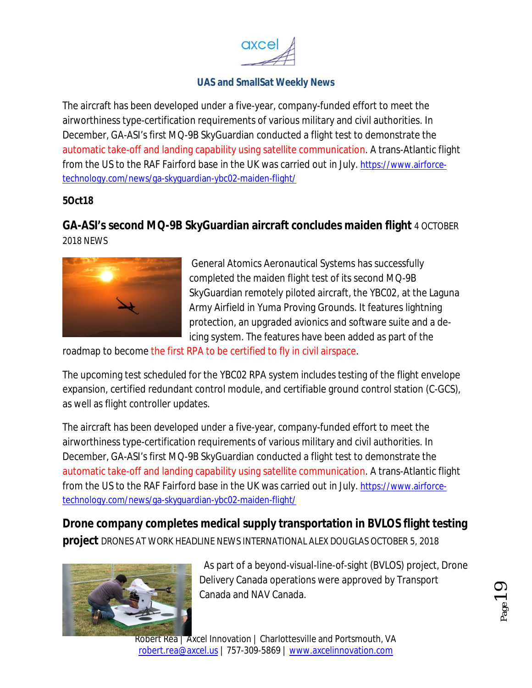

The aircraft has been developed under a five-year, company-funded effort to meet the airworthiness type-certification requirements of various military and civil authorities. In December, GA-ASI's first MQ-9B SkyGuardian conducted a flight test to demonstrate the automatic take-off and landing capability using satellite communication. A trans-Atlantic flight from the US to the RAF Fairford base in the UK was carried out in July. https://www.airforcetechnology.com/news/ga-skyguardian-ybc02-maiden-flight/

#### **5Oct18**

# **GA-ASI's second MQ-9B SkyGuardian aircraft concludes maiden flight** 4 OCTOBER 2018 NEWS



General Atomics Aeronautical Systems has successfully completed the maiden flight test of its second MQ-9B SkyGuardian remotely piloted aircraft, the YBC02, at the Laguna Army Airfield in Yuma Proving Grounds. It features lightning protection, an upgraded avionics and software suite and a deicing system. The features have been added as part of the

roadmap to become the first RPA to be certified to fly in civil airspace.

The upcoming test scheduled for the YBC02 RPA system includes testing of the flight envelope expansion, certified redundant control module, and certifiable ground control station (C-GCS), as well as flight controller updates.

The aircraft has been developed under a five-year, company-funded effort to meet the airworthiness type-certification requirements of various military and civil authorities. In December, GA-ASI's first MQ-9B SkyGuardian conducted a flight test to demonstrate the automatic take-off and landing capability using satellite communication. A trans-Atlantic flight from the US to the RAF Fairford base in the UK was carried out in July. https://www.airforcetechnology.com/news/ga-skyguardian-ybc02-maiden-flight/

**Drone company completes medical supply transportation in BVLOS flight testing project** DRONES AT WORK HEADLINE NEWS INTERNATIONAL ALEX DOUGLAS OCTOBER 5, 2018



As part of a beyond-visual-line-of-sight (BVLOS) project, Drone Delivery Canada operations were approved by Transport Canada and NAV Canada.